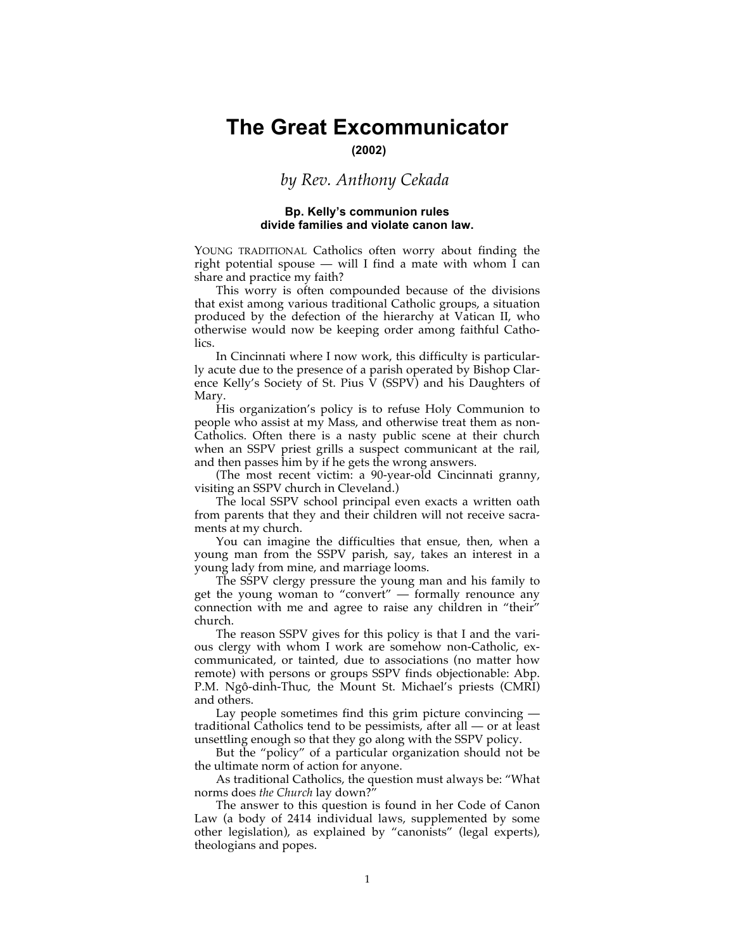# **The Great Excommunicator**

**(2002)**

# *by Rev. Anthony Cekada*

#### **Bp. Kelly's communion rules divide families and violate canon law.**

YOUNG TRADITIONAL Catholics often worry about finding the right potential spouse — will I find a mate with whom I can share and practice my faith?

This worry is often compounded because of the divisions that exist among various traditional Catholic groups, a situation produced by the defection of the hierarchy at Vatican II, who otherwise would now be keeping order among faithful Catholics.

In Cincinnati where I now work, this difficulty is particularly acute due to the presence of a parish operated by Bishop Clarence Kelly's Society of St. Pius V (SSPV) and his Daughters of Mary.

His organization's policy is to refuse Holy Communion to people who assist at my Mass, and otherwise treat them as non-Catholics. Often there is a nasty public scene at their church when an SSPV priest grills a suspect communicant at the rail, and then passes him by if he gets the wrong answers.

(The most recent victim: a 90-year-old Cincinnati granny, visiting an SSPV church in Cleveland.)

The local SSPV school principal even exacts a written oath from parents that they and their children will not receive sacraments at my church.

You can imagine the difficulties that ensue, then, when a young man from the SSPV parish, say, takes an interest in a young lady from mine, and marriage looms.

The SSPV clergy pressure the young man and his family to get the young woman to "convert" — formally renounce any connection with me and agree to raise any children in "their" church.

The reason SSPV gives for this policy is that I and the various clergy with whom I work are somehow non-Catholic, excommunicated, or tainted, due to associations (no matter how remote) with persons or groups SSPV finds objectionable: Abp. P.M. Ngô-dinh-Thuc, the Mount St. Michael's priests (CMRI) and others.

Lay people sometimes find this grim picture convincing traditional Catholics tend to be pessimists, after all — or at least unsettling enough so that they go along with the SSPV policy.

But the "policy" of a particular organization should not be the ultimate norm of action for anyone.

As traditional Catholics, the question must always be: "What norms does *the Church* lay down?"

The answer to this question is found in her Code of Canon Law (a body of 2414 individual laws, supplemented by some other legislation), as explained by "canonists" (legal experts), theologians and popes.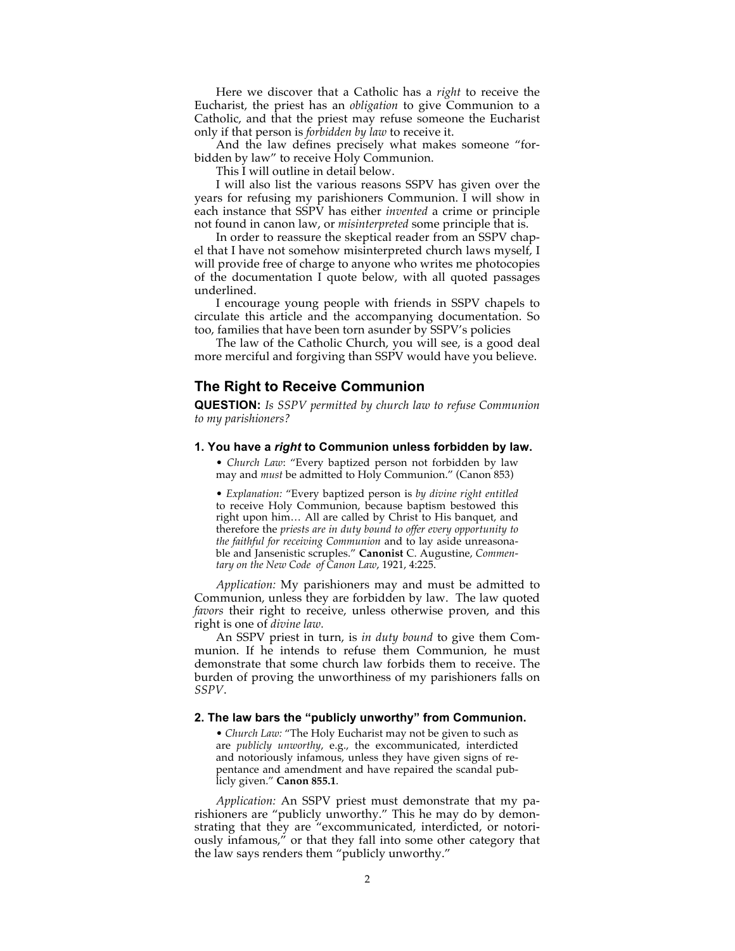Here we discover that a Catholic has a *right* to receive the Eucharist, the priest has an *obligation* to give Communion to a Catholic, and that the priest may refuse someone the Eucharist only if that person is *forbidden by law* to receive it.

And the law defines precisely what makes someone "forbidden by law" to receive Holy Communion.

This I will outline in detail below.

I will also list the various reasons SSPV has given over the years for refusing my parishioners Communion. I will show in each instance that SSPV has either *invented* a crime or principle not found in canon law, or *misinterpreted* some principle that is.

In order to reassure the skeptical reader from an SSPV chapel that I have not somehow misinterpreted church laws myself, I will provide free of charge to anyone who writes me photocopies of the documentation I quote below, with all quoted passages underlined.

I encourage young people with friends in SSPV chapels to circulate this article and the accompanying documentation. So too, families that have been torn asunder by SSPV's policies

The law of the Catholic Church, you will see, is a good deal more merciful and forgiving than SSPV would have you believe.

# **The Right to Receive Communion**

**QUESTION:** *Is SSPV permitted by church law to refuse Communion to my parishioners?*

#### **1. You have a** *right* **to Communion unless forbidden by law.**

• *Church Law*: "Every baptized person not forbidden by law may and *must* be admitted to Holy Communion." (Canon 853)

• *Explanation:* "Every baptized person is *by divine right entitled* to receive Holy Communion, because baptism bestowed this right upon him… All are called by Christ to His banquet, and therefore the *priests are in duty bound to offer every opportunity to the faithful for receiving Communion* and to lay aside unreasonable and Jansenistic scruples." **Canonist** C. Augustine, *Commentary on the New Code of Canon Law*, 1921, 4:225.

*Application:* My parishioners may and must be admitted to Communion, unless they are forbidden by law. The law quoted *favors* their right to receive, unless otherwise proven, and this right is one of *divine law.*

An SSPV priest in turn, is *in duty bound* to give them Communion. If he intends to refuse them Communion, he must demonstrate that some church law forbids them to receive. The burden of proving the unworthiness of my parishioners falls on *SSPV*.

#### **2. The law bars the "publicly unworthy" from Communion.**

• *Church Law:* "The Holy Eucharist may not be given to such as are *publicly unworthy*, e.g., the excommunicated, interdicted and notoriously infamous, unless they have given signs of repentance and amendment and have repaired the scandal publicly given." **Canon 855.1**.

*Application:* An SSPV priest must demonstrate that my parishioners are "publicly unworthy." This he may do by demonstrating that they are "excommunicated, interdicted, or notoriously infamous," or that they fall into some other category that the law says renders them "publicly unworthy."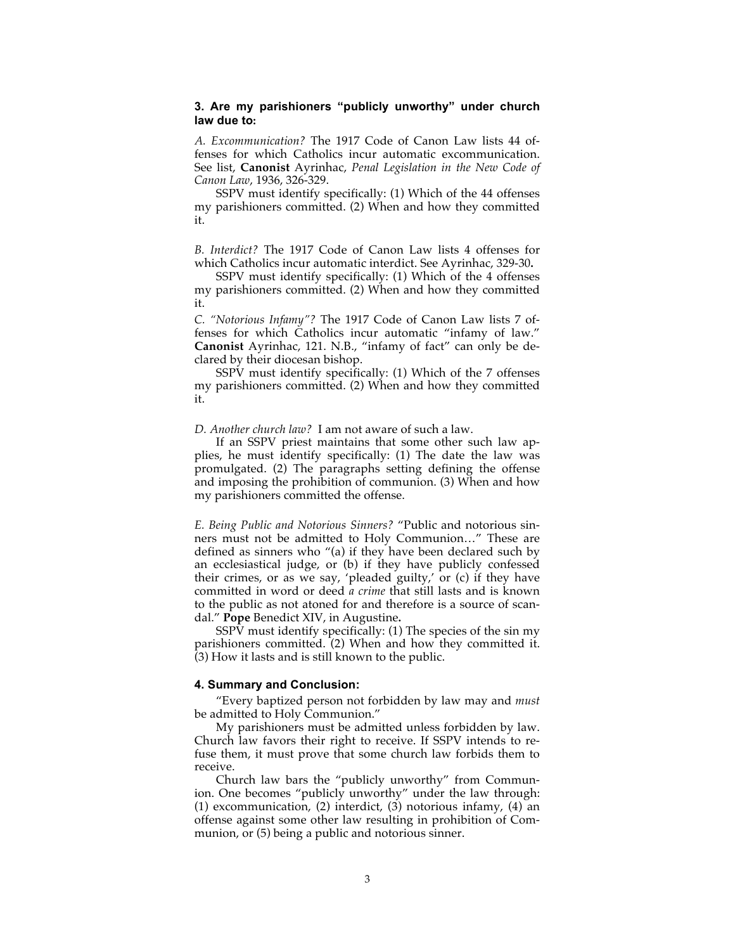## **3. Are my parishioners "publicly unworthy" under church law due to:**

*A. Excommunication?* The 1917 Code of Canon Law lists 44 offenses for which Catholics incur automatic excommunication. See list, **Canonist** Ayrinhac, *Penal Legislation in the New Code of Canon Law*, 1936, 326-329.

SSPV must identify specifically: (1) Which of the 44 offenses my parishioners committed. (2) When and how they committed it.

*B. Interdict?* The 1917 Code of Canon Law lists 4 offenses for which Catholics incur automatic interdict. See Ayrinhac, 329-30**.**

SSPV must identify specifically: (1) Which of the 4 offenses my parishioners committed. (2) When and how they committed it.

*C. "Notorious Infamy"?* The 1917 Code of Canon Law lists 7 offenses for which Catholics incur automatic "infamy of law." **Canonist** Ayrinhac, 121. N.B., "infamy of fact" can only be declared by their diocesan bishop.

SSPV must identify specifically: (1) Which of the 7 offenses my parishioners committed. (2) When and how they committed it.

#### *D. Another church law?* I am not aware of such a law.

If an SSPV priest maintains that some other such law applies, he must identify specifically: (1) The date the law was promulgated. (2) The paragraphs setting defining the offense and imposing the prohibition of communion. (3) When and how my parishioners committed the offense.

*E. Being Public and Notorious Sinners?* "Public and notorious sinners must not be admitted to Holy Communion…" These are defined as sinners who "(a) if they have been declared such by an ecclesiastical judge, or (b) if they have publicly confessed their crimes, or as we say, 'pleaded guilty,' or (c) if they have committed in word or deed *a crime* that still lasts and is known to the public as not atoned for and therefore is a source of scandal." **Pope** Benedict XIV, in Augustine**.**

SSPV must identify specifically: (1) The species of the sin my parishioners committed. (2) When and how they committed it. (3) How it lasts and is still known to the public.

#### **4. Summary and Conclusion:**

"Every baptized person not forbidden by law may and *must* be admitted to Holy Communion."

My parishioners must be admitted unless forbidden by law. Church law favors their right to receive. If SSPV intends to refuse them, it must prove that some church law forbids them to receive.

Church law bars the "publicly unworthy" from Communion. One becomes "publicly unworthy" under the law through: (1) excommunication, (2) interdict, (3) notorious infamy, (4) an offense against some other law resulting in prohibition of Communion, or (5) being a public and notorious sinner.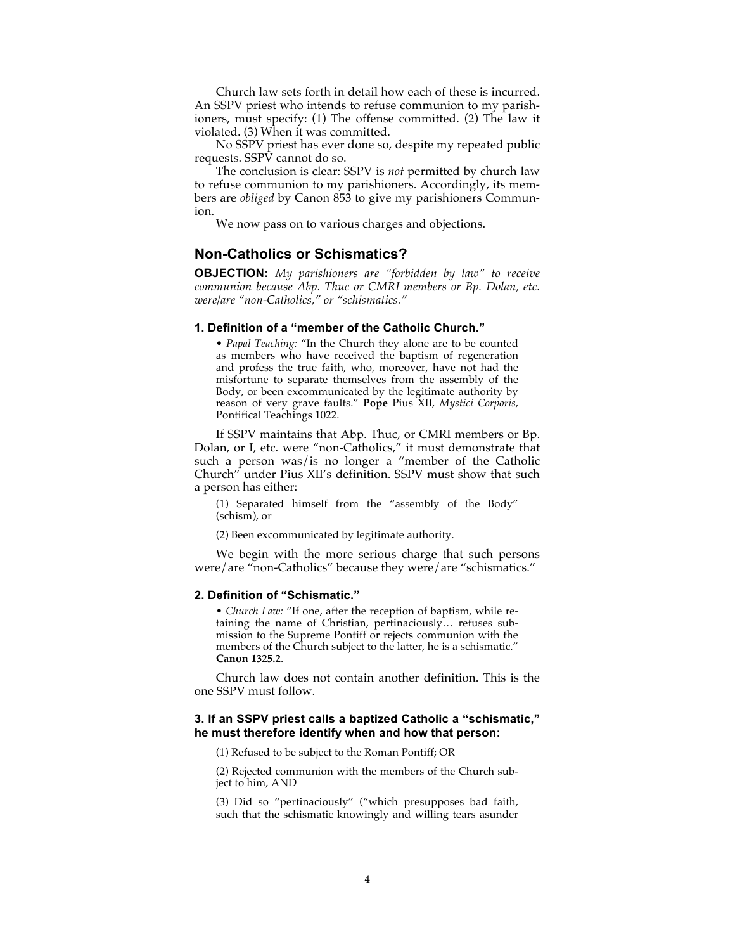Church law sets forth in detail how each of these is incurred. An SSPV priest who intends to refuse communion to my parishioners, must specify: (1) The offense committed. (2) The law it violated. (3) When it was committed.

No SSPV priest has ever done so, despite my repeated public requests. SSPV cannot do so.

The conclusion is clear: SSPV is *not* permitted by church law to refuse communion to my parishioners. Accordingly, its members are *obliged* by Canon 853 to give my parishioners Communion.

We now pass on to various charges and objections.

## **Non-Catholics or Schismatics?**

**OBJECTION:** *My parishioners are "forbidden by law" to receive communion because Abp. Thuc or CMRI members or Bp. Dolan, etc. were/are "non-Catholics," or "schismatics."*

#### **1. Definition of a "member of the Catholic Church."**

• *Papal Teaching:* "In the Church they alone are to be counted as members who have received the baptism of regeneration and profess the true faith, who, moreover, have not had the misfortune to separate themselves from the assembly of the Body, or been excommunicated by the legitimate authority by reason of very grave faults." **Pope** Pius XII, *Mystici Corporis*, Pontifical Teachings 1022.

If SSPV maintains that Abp. Thuc, or CMRI members or Bp. Dolan, or I, etc. were "non-Catholics," it must demonstrate that such a person was/is no longer a "member of the Catholic Church" under Pius XII's definition. SSPV must show that such a person has either:

(1) Separated himself from the "assembly of the Body" (schism), or

(2) Been excommunicated by legitimate authority.

We begin with the more serious charge that such persons were/are "non-Catholics" because they were/are "schismatics."

#### **2. Definition of "Schismatic."**

• *Church Law:* "If one, after the reception of baptism, while retaining the name of Christian, pertinaciously… refuses submission to the Supreme Pontiff or rejects communion with the members of the Church subject to the latter, he is a schismatic." **Canon 1325.2**.

Church law does not contain another definition. This is the one SSPV must follow.

## **3. If an SSPV priest calls a baptized Catholic a "schismatic," he must therefore identify when and how that person:**

(1) Refused to be subject to the Roman Pontiff; OR

(2) Rejected communion with the members of the Church subject to him, AND

(3) Did so "pertinaciously" ("which presupposes bad faith, such that the schismatic knowingly and willing tears asunder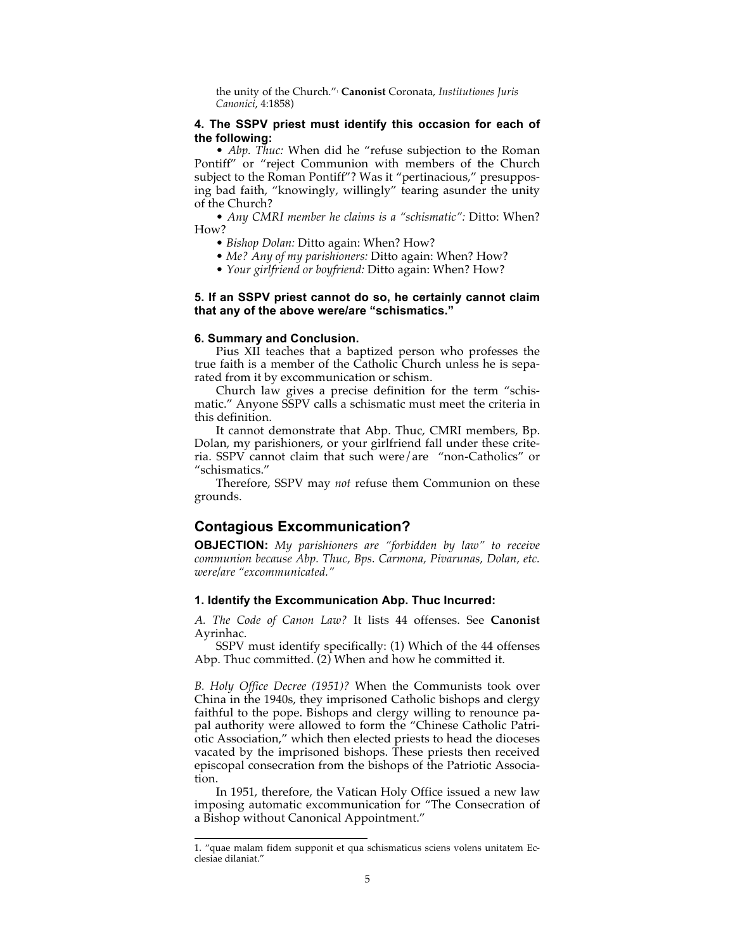the unity of the Church."1 **Canonist** Coronata, *Institutiones Juris Canonici*, 4:1858)

## **4. The SSPV priest must identify this occasion for each of the following:**

• *Abp. Thuc:* When did he "refuse subjection to the Roman Pontiff" or "reject Communion with members of the Church subject to the Roman Pontiff"? Was it "pertinacious," presupposing bad faith, "knowingly, willingly" tearing asunder the unity of the Church?

• *Any CMRI member he claims is a "schismatic":* Ditto: When? How?

- *Bishop Dolan:* Ditto again: When? How?
- *Me? Any of my parishioners:* Ditto again: When? How?
- *Your girlfriend or boyfriend:* Ditto again: When? How?

### **5. If an SSPV priest cannot do so, he certainly cannot claim that any of the above were/are "schismatics."**

#### **6. Summary and Conclusion.**

Pius XII teaches that a baptized person who professes the true faith is a member of the Catholic Church unless he is separated from it by excommunication or schism.

Church law gives a precise definition for the term "schismatic." Anyone SSPV calls a schismatic must meet the criteria in this definition.

It cannot demonstrate that Abp. Thuc, CMRI members, Bp. Dolan, my parishioners, or your girlfriend fall under these criteria. SSPV cannot claim that such were/are "non-Catholics" or "schismatics."

Therefore, SSPV may *not* refuse them Communion on these grounds.

## **Contagious Excommunication?**

**OBJECTION:** *My parishioners are "forbidden by law" to receive communion because Abp. Thuc, Bps. Carmona, Pivarunas, Dolan, etc. were/are "excommunicated."*

## **1. Identify the Excommunication Abp. Thuc Incurred:**

*A. The Code of Canon Law?* It lists 44 offenses. See **Canonist**  Ayrinhac.

SSPV must identify specifically: (1) Which of the 44 offenses Abp. Thuc committed.  $(2)$  When and how he committed it.

*B. Holy Office Decree (1951)?* When the Communists took over China in the 1940s, they imprisoned Catholic bishops and clergy faithful to the pope. Bishops and clergy willing to renounce papal authority were allowed to form the "Chinese Catholic Patriotic Association," which then elected priests to head the dioceses vacated by the imprisoned bishops. These priests then received episcopal consecration from the bishops of the Patriotic Association.

In 1951, therefore, the Vatican Holy Office issued a new law imposing automatic excommunication for "The Consecration of a Bishop without Canonical Appointment."

 <sup>1. &</sup>quot;quae malam fidem supponit et qua schismaticus sciens volens unitatem Ecclesiae dilaniat."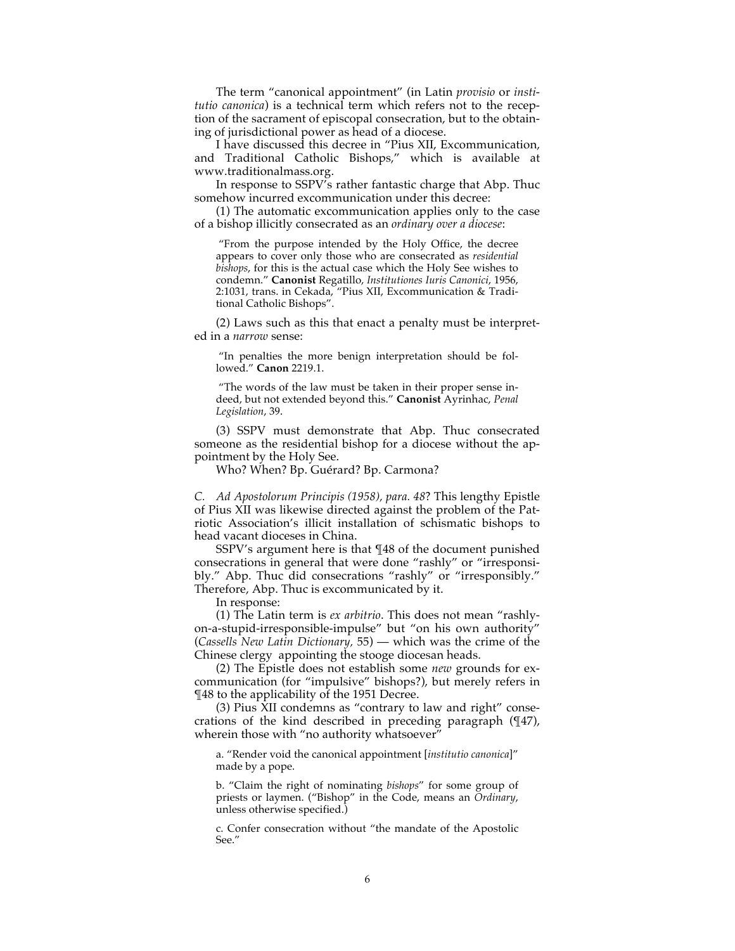The term "canonical appointment" (in Latin *provisio* or *institutio canonica*) is a technical term which refers not to the reception of the sacrament of episcopal consecration, but to the obtaining of jurisdictional power as head of a diocese.

I have discussed this decree in "Pius XII, Excommunication, and Traditional Catholic Bishops," which is available at www.traditionalmass.org.

In response to SSPV's rather fantastic charge that Abp. Thuc somehow incurred excommunication under this decree:

(1) The automatic excommunication applies only to the case of a bishop illicitly consecrated as an *ordinary over a diocese*:

"From the purpose intended by the Holy Office, the decree appears to cover only those who are consecrated as *residential bishops*, for this is the actual case which the Holy See wishes to condemn." **Canonist** Regatillo, *Institutiones Iuris Canonici*, 1956, 2:1031, trans. in Cekada, "Pius XII, Excommunication & Traditional Catholic Bishops".

(2) Laws such as this that enact a penalty must be interpreted in a *narrow* sense:

"In penalties the more benign interpretation should be followed." **Canon** 2219.1.

"The words of the law must be taken in their proper sense indeed, but not extended beyond this." **Canonist** Ayrinhac, *Penal Legislation*, 39.

(3) SSPV must demonstrate that Abp. Thuc consecrated someone as the residential bishop for a diocese without the appointment by the Holy See.

Who? When? Bp. Guérard? Bp. Carmona?

*C. Ad Apostolorum Principis (1958), para. 48*? This lengthy Epistle of Pius XII was likewise directed against the problem of the Patriotic Association's illicit installation of schismatic bishops to head vacant dioceses in China.

SSPV's argument here is that ¶48 of the document punished consecrations in general that were done "rashly" or "irresponsibly." Abp. Thuc did consecrations "rashly" or "irresponsibly." Therefore, Abp. Thuc is excommunicated by it.

In response:

(1) The Latin term is *ex arbitrio*. This does not mean "rashlyon-a-stupid-irresponsible-impulse" but "on his own authority" (*Cassells New Latin Dictionary,* 55) — which was the crime of the Chinese clergy appointing the stooge diocesan heads.

(2) The Epistle does not establish some *new* grounds for excommunication (for "impulsive" bishops?), but merely refers in ¶48 to the applicability of the 1951 Decree.

(3) Pius XII condemns as "contrary to law and right" consecrations of the kind described in preceding paragraph (¶47), wherein those with "no authority whatsoever"

a. "Render void the canonical appointment [*institutio canonica*]" made by a pope.

b. "Claim the right of nominating *bishops*" for some group of priests or laymen. ("Bishop" in the Code, means an *Ordinary*, unless otherwise specified.)

c. Confer consecration without "the mandate of the Apostolic See."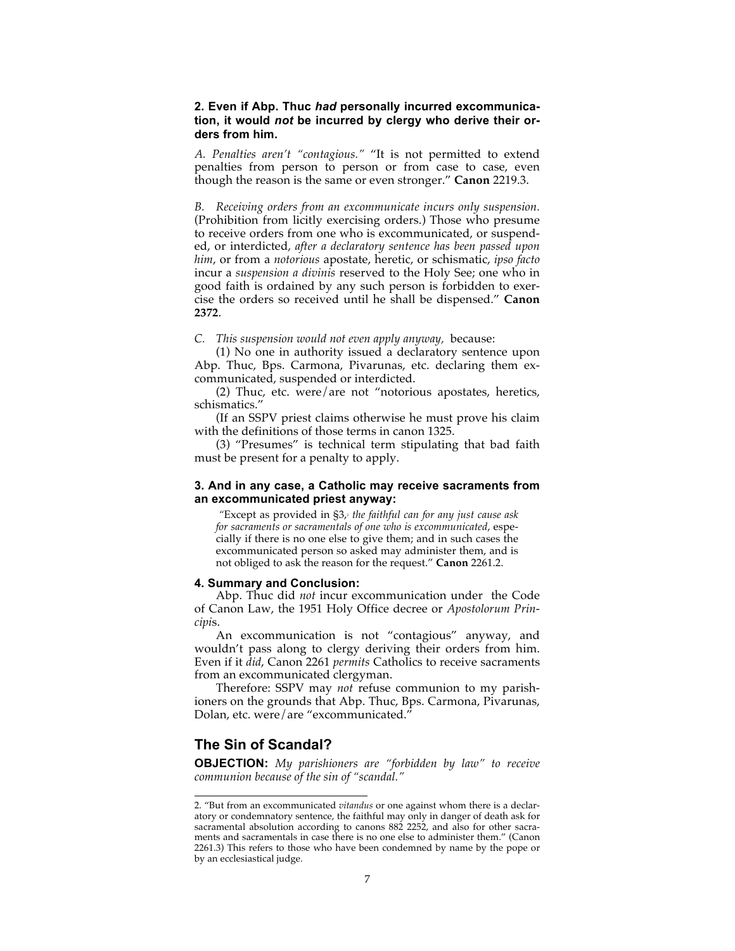## **2. Even if Abp. Thuc** *had* **personally incurred excommunication, it would** *not* **be incurred by clergy who derive their orders from him.**

*A. Penalties aren't "contagious."* "It is not permitted to extend penalties from person to person or from case to case, even though the reason is the same or even stronger." **Canon** 2219.3.

*B. Receiving orders from an excommunicate incurs only suspension.* (Prohibition from licitly exercising orders.) Those who presume to receive orders from one who is excommunicated, or suspended, or interdicted, *after a declaratory sentence has been passed upon him*, or from a *notorious* apostate, heretic, or schismatic, *ipso facto* incur a *suspension a divinis* reserved to the Holy See; one who in good faith is ordained by any such person is forbidden to exercise the orders so received until he shall be dispensed." **Canon 2372**.

#### *C. This suspension would not even apply anyway,* because:

(1) No one in authority issued a declaratory sentence upon Abp. Thuc, Bps. Carmona, Pivarunas, etc. declaring them excommunicated, suspended or interdicted.

(2) Thuc, etc. were/are not "notorious apostates, heretics, schismatics."

(If an SSPV priest claims otherwise he must prove his claim with the definitions of those terms in canon 1325.

(3) "Presumes" is technical term stipulating that bad faith must be present for a penalty to apply.

## **3. And in any case, a Catholic may receive sacraments from an excommunicated priest anyway:**

*"Except as provided in §3,<sup>2</sup> the faithful can for any just cause ask for sacraments or sacramentals of one who is excommunicated*, especially if there is no one else to give them; and in such cases the excommunicated person so asked may administer them, and is not obliged to ask the reason for the request." **Canon** 2261.2.

#### **4. Summary and Conclusion:**

Abp. Thuc did *not* incur excommunication under the Code of Canon Law, the 1951 Holy Office decree or *Apostolorum Principi*s.

An excommunication is not "contagious" anyway, and wouldn't pass along to clergy deriving their orders from him. Even if it *did*, Canon 2261 *permits* Catholics to receive sacraments from an excommunicated clergyman.

Therefore: SSPV may *not* refuse communion to my parishioners on the grounds that Abp. Thuc, Bps. Carmona, Pivarunas, Dolan, etc. were/are "excommunicated."

## **The Sin of Scandal?**

**OBJECTION:** *My parishioners are "forbidden by law" to receive communion because of the sin of "scandal."*

 <sup>2. &</sup>quot;But from an excommunicated *vitandus* or one against whom there is a declaratory or condemnatory sentence, the faithful may only in danger of death ask for sacramental absolution according to canons 882 2252, and also for other sacraments and sacramentals in case there is no one else to administer them." (Canon 2261.3) This refers to those who have been condemned by name by the pope or by an ecclesiastical judge.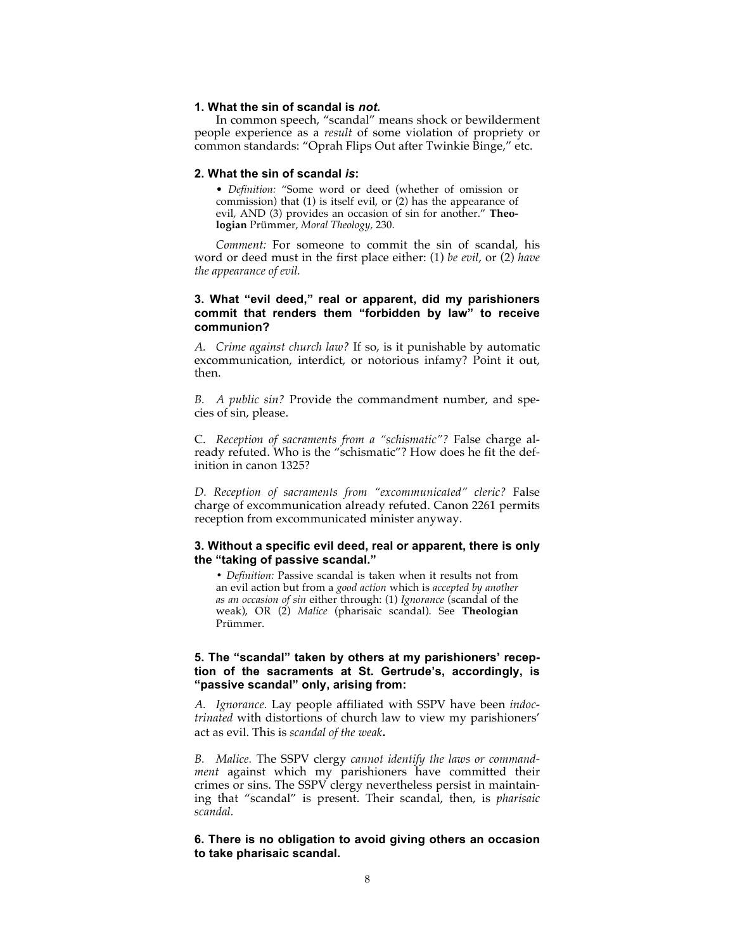#### **1. What the sin of scandal is** *not.*

In common speech, "scandal" means shock or bewilderment people experience as a *result* of some violation of propriety or common standards: "Oprah Flips Out after Twinkie Binge," etc.

#### **2. What the sin of scandal** *is***:**

• *Definition:* "Some word or deed (whether of omission or commission) that (1) is itself evil, or (2) has the appearance of evil, AND (3) provides an occasion of sin for another." **Theologian** Prümmer, *Moral Theology,* 230.

*Comment:* For someone to commit the sin of scandal, his word or deed must in the first place either: (1) *be evil*, or (2) *have the appearance of evil.*

## **3. What "evil deed," real or apparent, did my parishioners commit that renders them "forbidden by law" to receive communion?**

*A. Crime against church law?* If so, is it punishable by automatic excommunication, interdict, or notorious infamy? Point it out, then.

*B. A public sin?* Provide the commandment number, and species of sin, please.

C. *Reception of sacraments from a "schismatic"?* False charge already refuted. Who is the "schismatic"? How does he fit the definition in canon 1325?

*D. Reception of sacraments from "excommunicated" cleric?* False charge of excommunication already refuted. Canon 2261 permits reception from excommunicated minister anyway.

### **3. Without a specific evil deed, real or apparent, there is only the "taking of passive scandal."**

**•** *Definition:* Passive scandal is taken when it results not from an evil action but from a *good action* which is *accepted by another as an occasion of sin* either through: (1) *Ignorance* (scandal of the weak), OR (2) *Malice* (pharisaic scandal). See **Theologian** Prümmer.

## **5. The "scandal" taken by others at my parishioners' reception of the sacraments at St. Gertrude's, accordingly, is "passive scandal" only, arising from:**

*A. Ignorance.* Lay people affiliated with SSPV have been *indoctrinated* with distortions of church law to view my parishioners' act as evil. This is *scandal of the weak***.**

*B. Malice.* The SSPV clergy *cannot identify the laws or commandment* against which my parishioners have committed their crimes or sins. The SSPV clergy nevertheless persist in maintaining that "scandal" is present. Their scandal, then, is *pharisaic scandal.*

## **6. There is no obligation to avoid giving others an occasion to take pharisaic scandal.**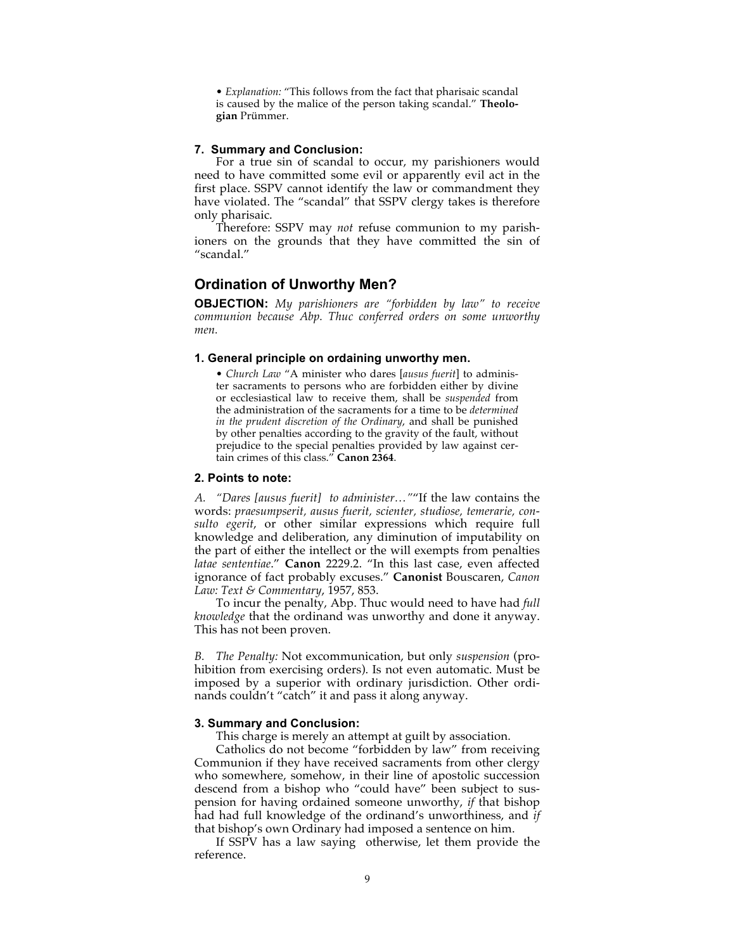• *Explanation:* "This follows from the fact that pharisaic scandal is caused by the malice of the person taking scandal." **Theologian** Prümmer.

## **7. Summary and Conclusion:**

For a true sin of scandal to occur, my parishioners would need to have committed some evil or apparently evil act in the first place. SSPV cannot identify the law or commandment they have violated. The "scandal" that SSPV clergy takes is therefore only pharisaic.

Therefore: SSPV may *not* refuse communion to my parishioners on the grounds that they have committed the sin of "scandal."

# **Ordination of Unworthy Men?**

**OBJECTION:** *My parishioners are "forbidden by law" to receive communion because Abp. Thuc conferred orders on some unworthy men.*

#### **1. General principle on ordaining unworthy men.**

• *Church Law* "A minister who dares [*ausus fuerit*] to administer sacraments to persons who are forbidden either by divine or ecclesiastical law to receive them, shall be *suspended* from the administration of the sacraments for a time to be *determined in the prudent discretion of the Ordinary*, and shall be punished by other penalties according to the gravity of the fault, without prejudice to the special penalties provided by law against certain crimes of this class." **Canon 2364**.

## **2. Points to note:**

*A. "Dares [ausus fuerit] to administer…"*"If the law contains the words: *praesumpserit, ausus fuerit, scienter, studiose, temerarie, consulto egerit*, or other similar expressions which require full knowledge and deliberation, any diminution of imputability on the part of either the intellect or the will exempts from penalties *latae sententiae*." **Canon** 2229.2. "In this last case, even affected ignorance of fact probably excuses." **Canonist** Bouscaren, *Canon Law: Text & Commentary*, 1957, 853.

To incur the penalty, Abp. Thuc would need to have had *full knowledge* that the ordinand was unworthy and done it anyway. This has not been proven.

*B. The Penalty:* Not excommunication, but only *suspension* (prohibition from exercising orders). Is not even automatic. Must be imposed by a superior with ordinary jurisdiction. Other ordinands couldn't "catch" it and pass it along anyway.

#### **3. Summary and Conclusion:**

This charge is merely an attempt at guilt by association.

Catholics do not become "forbidden by law" from receiving Communion if they have received sacraments from other clergy who somewhere, somehow, in their line of apostolic succession descend from a bishop who "could have" been subject to suspension for having ordained someone unworthy, *if* that bishop had had full knowledge of the ordinand's unworthiness, and *if* that bishop's own Ordinary had imposed a sentence on him.

If SSPV has a law saying otherwise, let them provide the reference.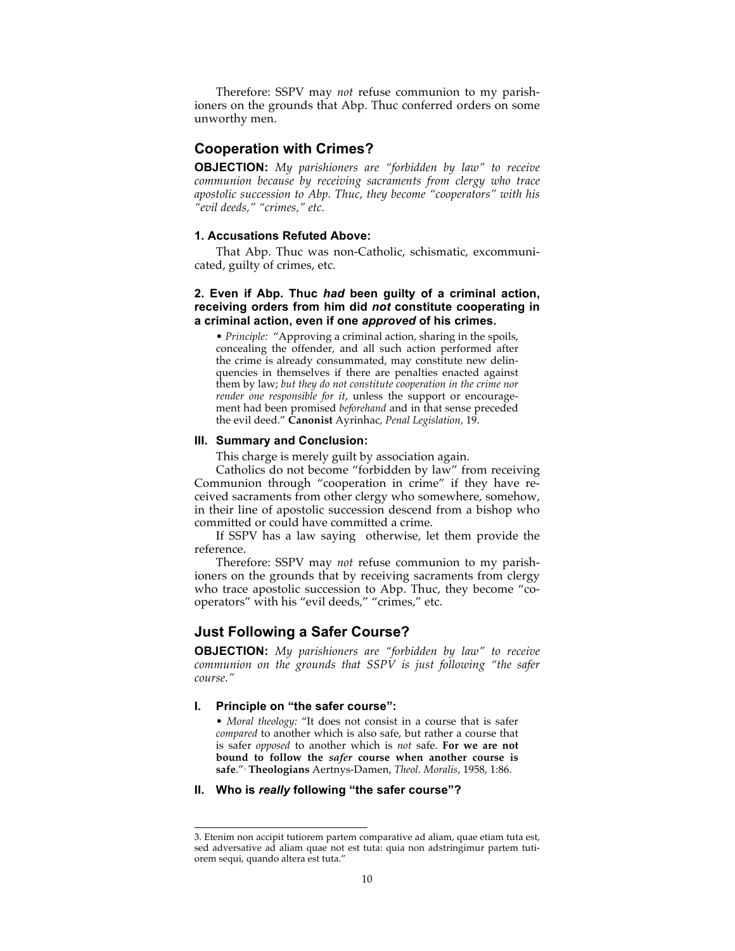Therefore: SSPV may *not* refuse communion to my parishioners on the grounds that Abp. Thuc conferred orders on some unworthy men.

## **Cooperation with Crimes?**

**OBJECTION:** *My parishioners are "forbidden by law" to receive communion because by receiving sacraments from clergy who trace apostolic succession to Abp. Thuc, they become "cooperators" with his "evil deeds," "crimes," etc.*

#### **1. Accusations Refuted Above:**

That Abp. Thuc was non-Catholic, schismatic, excommunicated, guilty of crimes, etc.

## **2. Even if Abp. Thuc** *had* **been guilty of a criminal action, receiving orders from him did** *not* **constitute cooperating in a criminal action, even if one** *approved* **of his crimes.**

• *Principle:* "Approving a criminal action, sharing in the spoils, concealing the offender, and all such action performed after the crime is already consummated, may constitute new delinquencies in themselves if there are penalties enacted against them by law; *but they do not constitute cooperation in the crime nor render one responsible for it*, unless the support or encouragement had been promised *beforehand* and in that sense preceded the evil deed." **Canonist** Ayrinhac, *Penal Legislation,* 19.

#### **III. Summary and Conclusion:**

This charge is merely guilt by association again.

Catholics do not become "forbidden by law" from receiving Communion through "cooperation in crime" if they have received sacraments from other clergy who somewhere, somehow, in their line of apostolic succession descend from a bishop who committed or could have committed a crime.

If SSPV has a law saying otherwise, let them provide the reference.

Therefore: SSPV may *not* refuse communion to my parishioners on the grounds that by receiving sacraments from clergy who trace apostolic succession to Abp. Thuc, they become "cooperators" with his "evil deeds," "crimes," etc.

## **Just Following a Safer Course?**

**OBJECTION:** *My parishioners are "forbidden by law" to receive communion on the grounds that SSPV is just following "the safer course."*

#### **I. Principle on "the safer course":**

• *Moral theology:* "It does not consist in a course that is safer *compared* to another which is also safe, but rather a course that is safer *opposed* to another which is *not* safe. **For we are not bound to follow the** *safer* **course when another course is safe**."3 **Theologians** Aertnys-Damen, *Theol. Moralis*, 1958, 1:86.

#### **II. Who is** *really* **following "the safer course"?**

 <sup>3.</sup> Etenim non accipit tutiorem partem comparative ad aliam, quae etiam tuta est, sed adversative ad aliam quae not est tuta: quia non adstringimur partem tutiorem sequi, quando altera est tuta."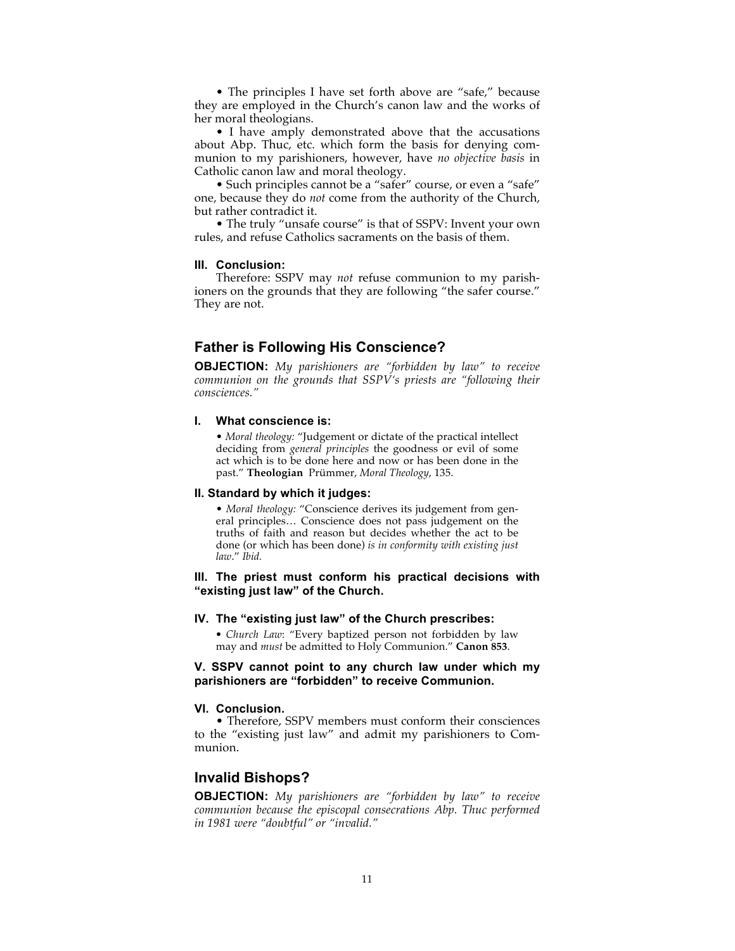• The principles I have set forth above are "safe," because they are employed in the Church's canon law and the works of her moral theologians.

• I have amply demonstrated above that the accusations about Abp. Thuc, etc. which form the basis for denying communion to my parishioners, however, have *no objective basis* in Catholic canon law and moral theology.

• Such principles cannot be a "safer" course, or even a "safe" one, because they do *not* come from the authority of the Church, but rather contradict it.

• The truly "unsafe course" is that of SSPV: Invent your own rules, and refuse Catholics sacraments on the basis of them.

## **III. Conclusion:**

Therefore: SSPV may *not* refuse communion to my parishioners on the grounds that they are following "the safer course." They are not.

# **Father is Following His Conscience?**

**OBJECTION:** *My parishioners are "forbidden by law" to receive communion on the grounds that SSPV's priests are "following their consciences."*

## **I. What conscience is:**

• *Moral theology:* "Judgement or dictate of the practical intellect deciding from *general principles* the goodness or evil of some act which is to be done here and now or has been done in the past." **Theologian** Prümmer, *Moral Theology*, 135.

## **II. Standard by which it judges:**

• *Moral theology:* "Conscience derives its judgement from general principles… Conscience does not pass judgement on the truths of faith and reason but decides whether the act to be done (or which has been done) *is in conformity with existing just law*." *Ibid.*

## **III. The priest must conform his practical decisions with "existing just law" of the Church.**

#### **IV. The "existing just law" of the Church prescribes:**

*• Church Law*: "Every baptized person not forbidden by law may and *must* be admitted to Holy Communion." **Canon 853**.

## **V. SSPV cannot point to any church law under which my parishioners are "forbidden" to receive Communion.**

## **VI. Conclusion.**

• Therefore, SSPV members must conform their consciences to the "existing just law" and admit my parishioners to Communion.

## **Invalid Bishops?**

**OBJECTION:** *My parishioners are "forbidden by law" to receive communion because the episcopal consecrations Abp. Thuc performed in 1981 were "doubtful" or "invalid."*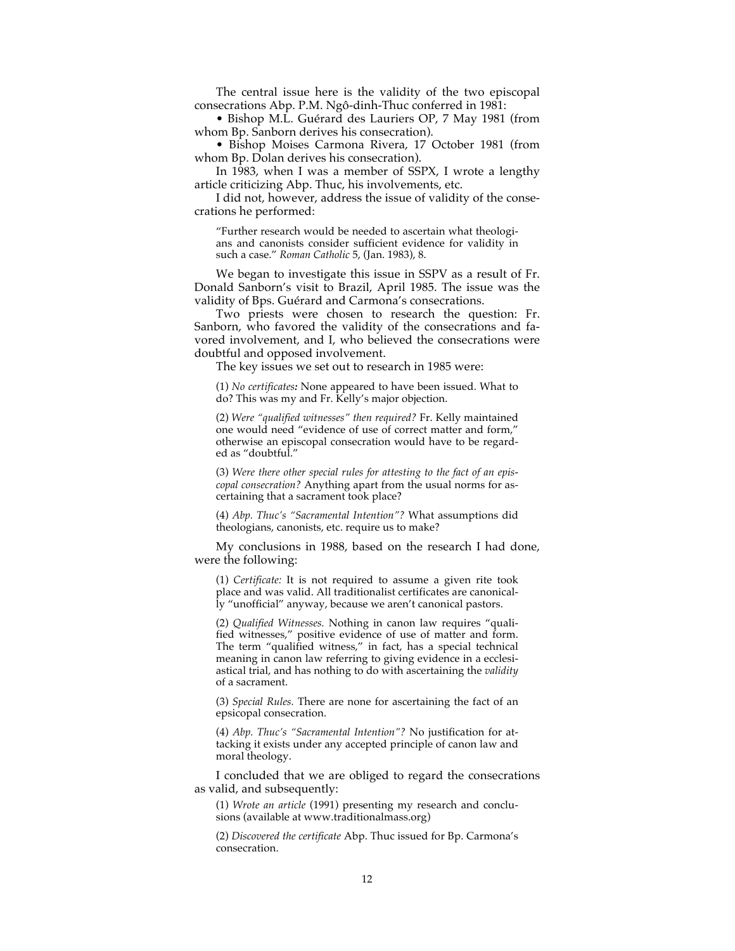The central issue here is the validity of the two episcopal consecrations Abp. P.M. Ngô-dinh-Thuc conferred in 1981:

• Bishop M.L. Guérard des Lauriers OP, 7 May 1981 (from whom Bp. Sanborn derives his consecration).

• Bishop Moises Carmona Rivera, 17 October 1981 (from whom Bp. Dolan derives his consecration).

In 1983, when I was a member of SSPX, I wrote a lengthy article criticizing Abp. Thuc, his involvements, etc.

I did not, however, address the issue of validity of the consecrations he performed:

"Further research would be needed to ascertain what theologians and canonists consider sufficient evidence for validity in such a case." *Roman Catholic* 5, (Jan. 1983), 8.

We began to investigate this issue in SSPV as a result of Fr. Donald Sanborn's visit to Brazil, April 1985. The issue was the validity of Bps. Guérard and Carmona's consecrations.

Two priests were chosen to research the question: Fr. Sanborn, who favored the validity of the consecrations and favored involvement, and I, who believed the consecrations were doubtful and opposed involvement.

The key issues we set out to research in 1985 were:

(1) *No certificates:* None appeared to have been issued. What to do? This was my and Fr. Kelly's major objection.

(2) *Were "qualified witnesses" then required?* Fr. Kelly maintained one would need "evidence of use of correct matter and form," otherwise an episcopal consecration would have to be regarded as "doubtful."

(3) *Were there other special rules for attesting to the fact of an episcopal consecration?* Anything apart from the usual norms for ascertaining that a sacrament took place?

(4) *Abp. Thuc's "Sacramental Intention"?* What assumptions did theologians, canonists, etc. require us to make?

My conclusions in 1988, based on the research I had done, were the following:

(1) *Certificate:* It is not required to assume a given rite took place and was valid. All traditionalist certificates are canonically "unofficial" anyway, because we aren't canonical pastors.

(2) *Qualified Witnesses.* Nothing in canon law requires "qualified witnesses," positive evidence of use of matter and form. The term "qualified witness," in fact, has a special technical meaning in canon law referring to giving evidence in a ecclesiastical trial, and has nothing to do with ascertaining the *validity* of a sacrament.

(3) *Special Rules.* There are none for ascertaining the fact of an epsicopal consecration.

(4) *Abp. Thuc's "Sacramental Intention"?* No justification for attacking it exists under any accepted principle of canon law and moral theology.

I concluded that we are obliged to regard the consecrations as valid, and subsequently:

(1) *Wrote an article* (1991) presenting my research and conclusions (available at www.traditionalmass.org)

(2) *Discovered the certificate* Abp. Thuc issued for Bp. Carmona's consecration.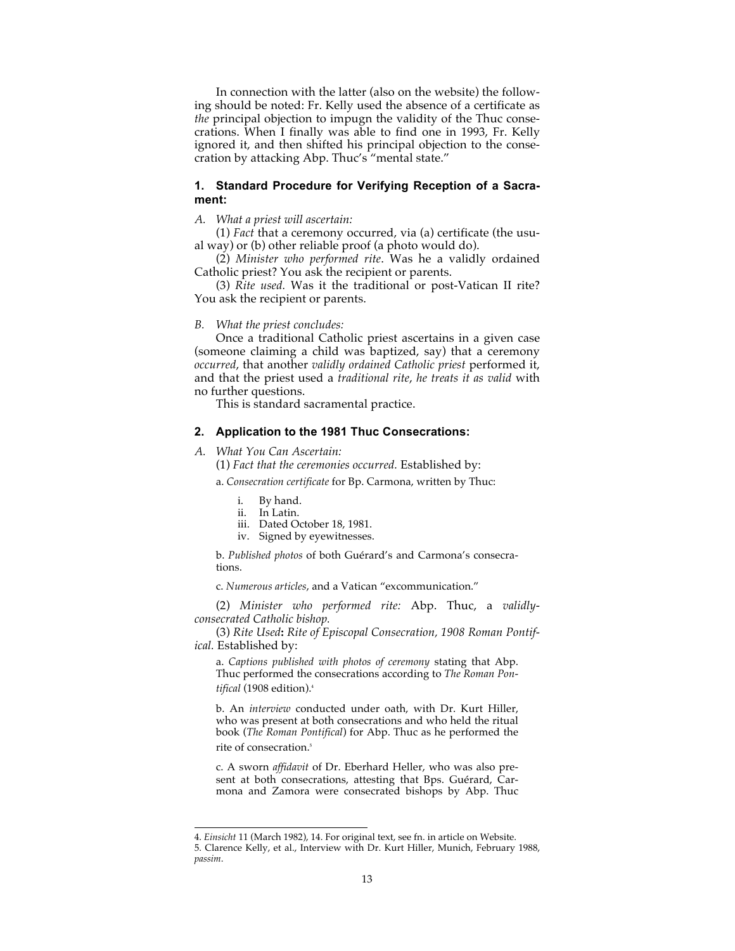In connection with the latter (also on the website) the following should be noted: Fr. Kelly used the absence of a certificate as *the* principal objection to impugn the validity of the Thuc consecrations. When I finally was able to find one in 1993, Fr. Kelly ignored it, and then shifted his principal objection to the consecration by attacking Abp. Thuc's "mental state."

## **1. Standard Procedure for Verifying Reception of a Sacrament:**

#### *A. What a priest will ascertain:*

(1) *Fact* that a ceremony occurred, via (a) certificate (the usual way) or (b) other reliable proof (a photo would do).

(2) *Minister who performed rite*. Was he a validly ordained Catholic priest? You ask the recipient or parents.

(3) *Rite used.* Was it the traditional or post-Vatican II rite? You ask the recipient or parents.

#### *B. What the priest concludes:*

Once a traditional Catholic priest ascertains in a given case (someone claiming a child was baptized, say) that a ceremony *occurred*, that another *validly ordained Catholic priest* performed it, and that the priest used a *traditional rite*, *he treats it as valid* with no further questions.

This is standard sacramental practice.

#### **2. Application to the 1981 Thuc Consecrations:**

*A. What You Can Ascertain:*

(1) *Fact that the ceremonies occurred.* Established by:

a. *Consecration certificate* for Bp. Carmona, written by Thuc:

- i. By hand.
- ii. In Latin.
- iii. Dated October 18, 1981.
- iv. Signed by eyewitnesses.

b. *Published photos* of both Guérard's and Carmona's consecrations.

c. *Numerous articles*, and a Vatican "excommunication."

(2) *Minister who performed rite:* Abp. Thuc, a *validlyconsecrated Catholic bishop.*

(3) *Rite Used***:** *Rite of Episcopal Consecration, 1908 Roman Pontifical.* Established by:

a. *Captions published with photos of ceremony* stating that Abp. Thuc performed the consecrations according to *The Roman Pontifical* (1908 edition).4

b. An *interview* conducted under oath, with Dr. Kurt Hiller, who was present at both consecrations and who held the ritual book (*The Roman Pontifical*) for Abp. Thuc as he performed the rite of consecration.<sup>5</sup>

c. A sworn *affidavit* of Dr. Eberhard Heller, who was also present at both consecrations, attesting that Bps. Guérard, Carmona and Zamora were consecrated bishops by Abp. Thuc

 <sup>4.</sup> *Einsicht* 11 (March 1982), 14. For original text, see fn. in article on Website.

<sup>5.</sup> Clarence Kelly, et al., Interview with Dr. Kurt Hiller, Munich, February 1988, *passim*.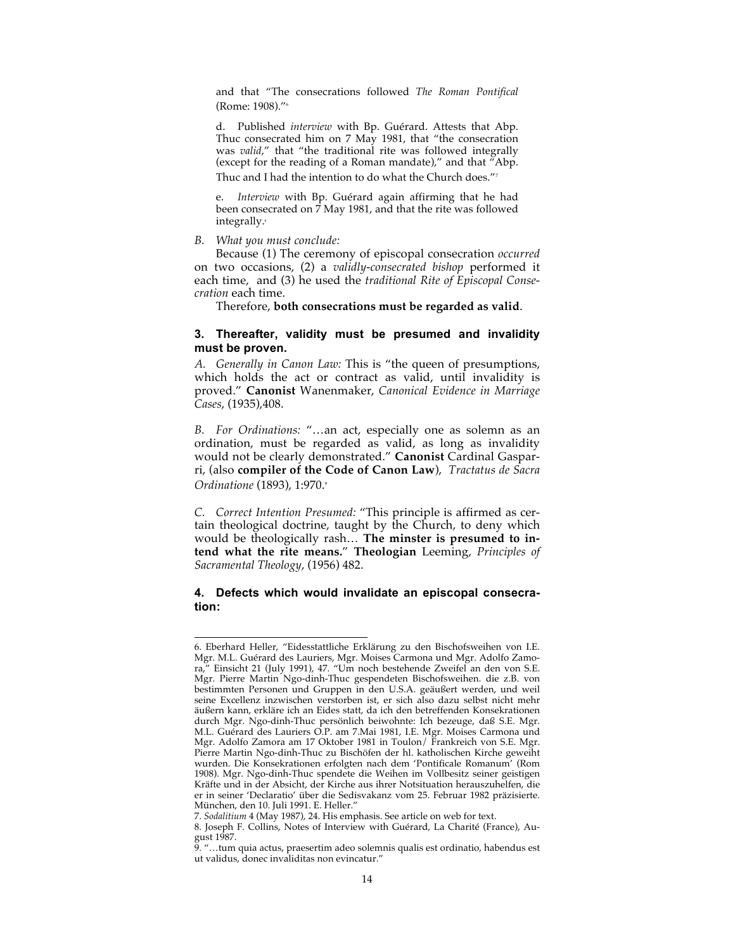and that "The consecrations followed *The Roman Pontifical* (Rome: 1908)."6

d. Published *interview* with Bp. Guérard. Attests that Abp. Thuc consecrated him on 7 May 1981, that "the consecration was *valid*," that "the traditional rite was followed integrally (except for the reading of a Roman mandate)," and that "Abp. Thuc and I had the intention to do what the Church does."7

e. *Interview* with Bp. Guérard again affirming that he had been consecrated on 7 May 1981, and that the rite was followed integrally.<sup>8</sup>

*B. What you must conclude:*

Because (1) The ceremony of episcopal consecration *occurred* on two occasions, (2) a *validly-consecrated bishop* performed it each time, and (3) he used the *traditional Rite of Episcopal Consecration* each time.

Therefore, **both consecrations must be regarded as valid**.

## **3. Thereafter, validity must be presumed and invalidity must be proven.**

*A. Generally in Canon Law:* This is "the queen of presumptions, which holds the act or contract as valid, until invalidity is proved." **Canonist** Wanenmaker, *Canonical Evidence in Marriage Cases*, (1935),408.

*B. For Ordinations:* "…an act, especially one as solemn as an ordination, must be regarded as valid, as long as invalidity would not be clearly demonstrated." **Canonist** Cardinal Gasparri, (also **compiler of the Code of Canon Law**), *Tractatus de Sacra Ordinatione* (1893), 1:970.9

*C. Correct Intention Presumed:* "This principle is affirmed as certain theological doctrine, taught by the Church, to deny which would be theologically rash… **The minster is presumed to intend what the rite means.**" **Theologian** Leeming, *Principles of Sacramental Theology*, (1956) 482.

## **4. Defects which would invalidate an episcopal consecration:**

 <sup>6.</sup> Eberhard Heller, "Eidesstattliche Erklärung zu den Bischofsweihen von I.E. Mgr. M.L. Guérard des Lauriers, Mgr. Moises Carmona und Mgr. Adolfo Zamora," Einsicht 21 (July 1991), 47. "Um noch bestehende Zweifel an den von S.E. Mgr. Pierre Martin Ngo-dinh-Thuc gespendeten Bischofsweihen. die z.B. von bestimmten Personen und Gruppen in den U.S.A. geäußert werden, und weil seine Excellenz inzwischen verstorben ist, er sich also dazu selbst nicht mehr äußern kann, erkläre ich an Eides statt, da ich den betreffenden Konsekrationen durch Mgr. Ngo-dinh-Thuc persönlich beiwohnte: Ich bezeuge, daß S.E. Mgr. M.L. Guérard des Lauriers O.P. am 7.Mai 1981, I.E. Mgr. Moises Carmona und Mgr. Adolfo Zamora am 17 Oktober 1981 in Toulon/ Frankreich von S.E. Mgr. Pierre Martin Ngo-dinh-Thuc zu Bischöfen der hl. katholischen Kirche geweiht wurden. Die Konsekrationen erfolgten nach dem 'Pontificale Romanum' (Rom 1908). Mgr. Ngo-dinh-Thuc spendete die Weihen im Vollbesitz seiner geistigen Kräfte und in der Absicht, der Kirche aus ihrer Notsituation herauszuhelfen, die er in seiner 'Declaratio' über die Sedisvakanz vom 25. Februar 1982 präzisierte. München, den 10. Juli 1991. E. Heller."

<sup>7.</sup> *Sodalitium* 4 (May 1987), 24. His emphasis. See article on web for text.

<sup>8.</sup> Joseph F. Collins, Notes of Interview with Guérard, La Charité (France), August 1987.

<sup>9. &</sup>quot;…tum quia actus, praesertim adeo solemnis qualis est ordinatio, habendus est ut validus, donec invaliditas non evincatur."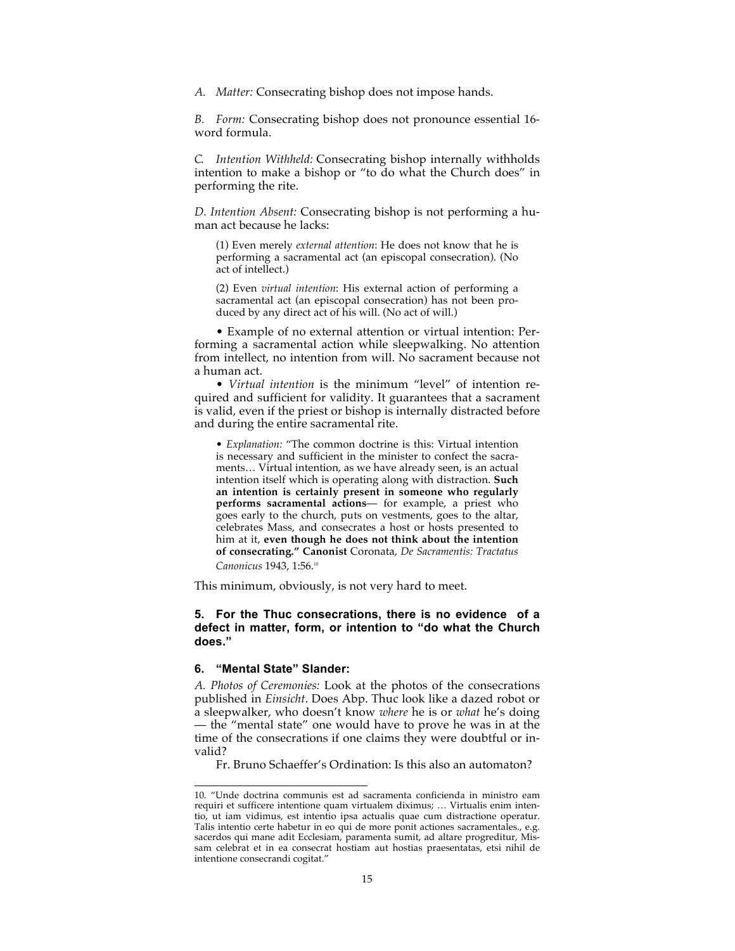*A. Matter:* Consecrating bishop does not impose hands.

*B. Form:* Consecrating bishop does not pronounce essential 16 word formula.

*C. Intention Withheld:* Consecrating bishop internally withholds intention to make a bishop or "to do what the Church does" in performing the rite.

*D. Intention Absent:* Consecrating bishop is not performing a human act because he lacks:

(1) Even merely *external attention*: He does not know that he is performing a sacramental act (an episcopal consecration). (No act of intellect.)

(2) Even *virtual intention*: His external action of performing a sacramental act (an episcopal consecration) has not been produced by any direct act of his will. (No act of will.)

• Example of no external attention or virtual intention: Performing a sacramental action while sleepwalking. No attention from intellect, no intention from will. No sacrament because not a human act.

• *Virtual intention* is the minimum "level" of intention required and sufficient for validity. It guarantees that a sacrament is valid, even if the priest or bishop is internally distracted before and during the entire sacramental rite.

• *Explanation:* "The common doctrine is this: Virtual intention is necessary and sufficient in the minister to confect the sacraments… Virtual intention, as we have already seen, is an actual intention itself which is operating along with distraction. **Such an intention is certainly present in someone who regularly performs sacramental actions**— for example, a priest who goes early to the church, puts on vestments, goes to the altar, celebrates Mass, and consecrates a host or hosts presented to him at it, **even though he does not think about the intention of consecrating." Canonist** Coronata, *De Sacramentis: Tractatus Canonicus* 1943, 1:56.10

This minimum, obviously, is not very hard to meet.

## **5. For the Thuc consecrations, there is no evidence of a defect in matter, form, or intention to "do what the Church does."**

#### **6. "Mental State" Slander:**

*A. Photos of Ceremonies:* Look at the photos of the consecrations published in *Einsicht*. Does Abp. Thuc look like a dazed robot or a sleepwalker, who doesn't know *where* he is or *what* he's doing — the "mental state" one would have to prove he was in at the time of the consecrations if one claims they were doubtful or invalid?

Fr. Bruno Schaeffer's Ordination: Is this also an automaton?

 <sup>10. &</sup>quot;Unde doctrina communis est ad sacramenta conficienda in ministro eam requiri et sufficere intentione quam virtualem diximus; … Virtualis enim intentio, ut iam vidimus, est intentio ipsa actualis quae cum distractione operatur. Talis intentio certe habetur in eo qui de more ponit actiones sacramentales., e.g. sacerdos qui mane adit Ecclesiam, paramenta sumit, ad altare progreditur, Missam celebrat et in ea consecrat hostiam aut hostias praesentatas, etsi nihil de intentione consecrandi cogitat."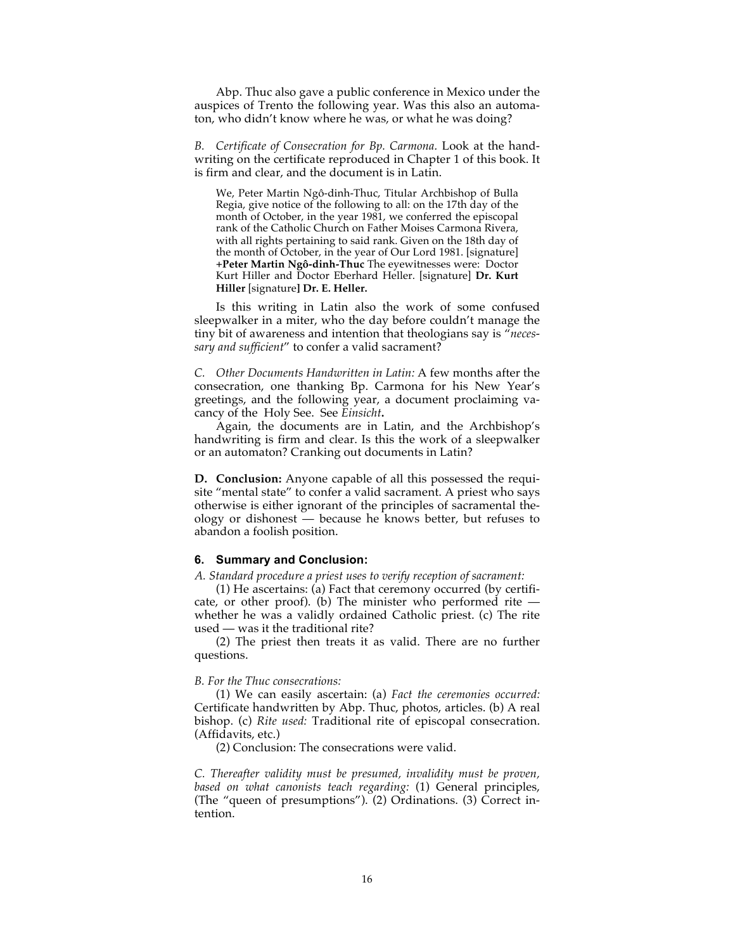Abp. Thuc also gave a public conference in Mexico under the auspices of Trento the following year. Was this also an automaton, who didn't know where he was, or what he was doing?

*B. Certificate of Consecration for Bp. Carmona.* Look at the handwriting on the certificate reproduced in Chapter 1 of this book. It is firm and clear, and the document is in Latin.

We, Peter Martin Ngô-dinh-Thuc, Titular Archbishop of Bulla Regia, give notice of the following to all: on the 17th day of the month of October, in the year 1981, we conferred the episcopal rank of the Catholic Church on Father Moises Carmona Rivera, with all rights pertaining to said rank. Given on the 18th day of the month of October, in the year of Our Lord 1981. [signature] **+Peter Martin Ngô-dinh-Thuc** The eyewitnesses were: Doctor Kurt Hiller and Doctor Eberhard Heller. [signature] **Dr. Kurt Hiller** [signature**] Dr. E. Heller.**

Is this writing in Latin also the work of some confused sleepwalker in a miter, who the day before couldn't manage the tiny bit of awareness and intention that theologians say is "*necessary and sufficient*" to confer a valid sacrament?

*C. Other Documents Handwritten in Latin:* A few months after the consecration, one thanking Bp. Carmona for his New Year's greetings, and the following year, a document proclaiming vacancy of the Holy See. See *Einsicht***.**

Again, the documents are in Latin, and the Archbishop's handwriting is firm and clear. Is this the work of a sleepwalker or an automaton? Cranking out documents in Latin?

**D. Conclusion:** Anyone capable of all this possessed the requisite "mental state" to confer a valid sacrament. A priest who says otherwise is either ignorant of the principles of sacramental theology or dishonest — because he knows better, but refuses to abandon a foolish position.

#### **6. Summary and Conclusion:**

*A. Standard procedure a priest uses to verify reception of sacrament:*

(1) He ascertains: (a) Fact that ceremony occurred (by certificate, or other proof). (b) The minister who performed rite  $$ whether he was a validly ordained Catholic priest. (c) The rite used — was it the traditional rite?

(2) The priest then treats it as valid. There are no further questions.

#### *B. For the Thuc consecrations:*

(1) We can easily ascertain: (a) *Fact the ceremonies occurred:* Certificate handwritten by Abp. Thuc, photos, articles. (b) A real bishop. (c) *Rite used:* Traditional rite of episcopal consecration. (Affidavits, etc.)

(2) Conclusion: The consecrations were valid.

*C. Thereafter validity must be presumed, invalidity must be proven, based on what canonists teach regarding:* (1) General principles, (The "queen of presumptions"). (2) Ordinations. (3) Correct intention.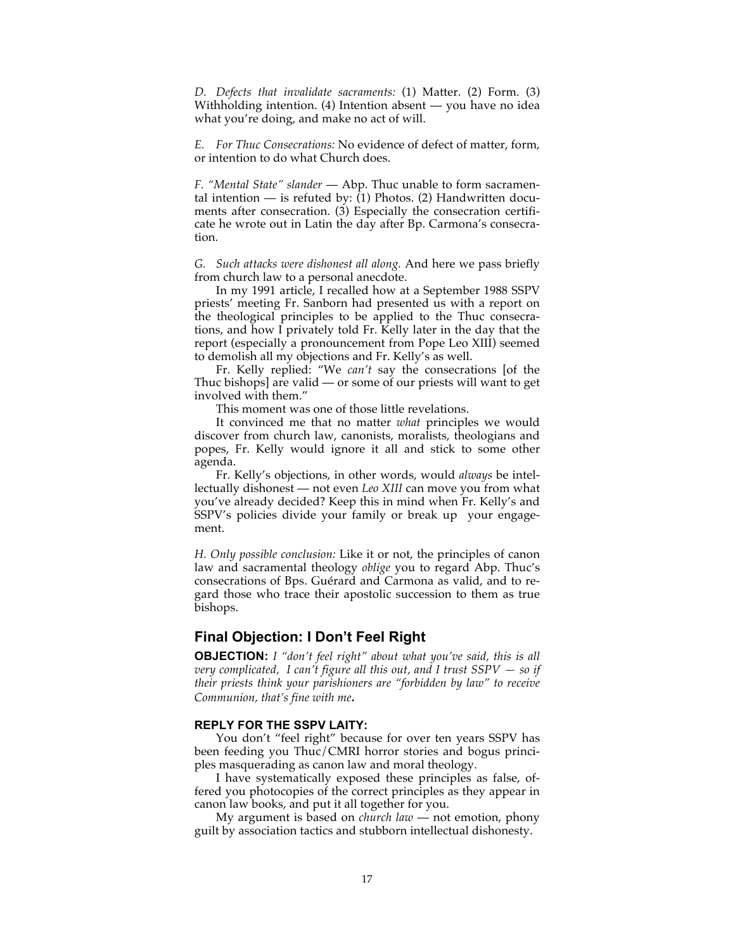*D. Defects that invalidate sacraments:* (1) Matter. (2) Form. (3) Withholding intention. (4) Intention absent — you have no idea what you're doing, and make no act of will.

*E. For Thuc Consecrations:* No evidence of defect of matter, form, or intention to do what Church does.

*F. "Mental State" slander* — Abp. Thuc unable to form sacramental intention — is refuted by: (1) Photos. (2) Handwritten documents after consecration. (3) Especially the consecration certificate he wrote out in Latin the day after Bp. Carmona's consecration.

*G. Such attacks were dishonest all along.* And here we pass briefly from church law to a personal anecdote.

In my 1991 article, I recalled how at a September 1988 SSPV priests' meeting Fr. Sanborn had presented us with a report on the theological principles to be applied to the Thuc consecrations, and how I privately told Fr. Kelly later in the day that the report (especially a pronouncement from Pope Leo XIII) seemed to demolish all my objections and Fr. Kelly's as well.

Fr. Kelly replied: "We *can't* say the consecrations [of the Thuc bishops] are valid — or some of our priests will want to get involved with them."

This moment was one of those little revelations.

It convinced me that no matter *what* principles we would discover from church law, canonists, moralists, theologians and popes, Fr. Kelly would ignore it all and stick to some other agenda.

Fr. Kelly's objections, in other words, would *always* be intellectually dishonest — not even *Leo XIII* can move you from what you've already decided? Keep this in mind when Fr. Kelly's and SSPV's policies divide your family or break up your engagement.

*H. Only possible conclusion:* Like it or not, the principles of canon law and sacramental theology *oblige* you to regard Abp. Thuc's consecrations of Bps. Guérard and Carmona as valid, and to regard those who trace their apostolic succession to them as true bishops.

# **Final Objection: I Don't Feel Right**

**OBJECTION:** *I "don't feel right" about what you've said, this is all very complicated, I can't figure all this out, and I trust SSPV — so if their priests think your parishioners are "forbidden by law" to receive Communion, that's fine with me***.**

#### **REPLY FOR THE SSPV LAITY:**

You don't "feel right" because for over ten years SSPV has been feeding you Thuc/CMRI horror stories and bogus principles masquerading as canon law and moral theology.

I have systematically exposed these principles as false, offered you photocopies of the correct principles as they appear in canon law books, and put it all together for you.

My argument is based on *church law* — not emotion, phony guilt by association tactics and stubborn intellectual dishonesty.